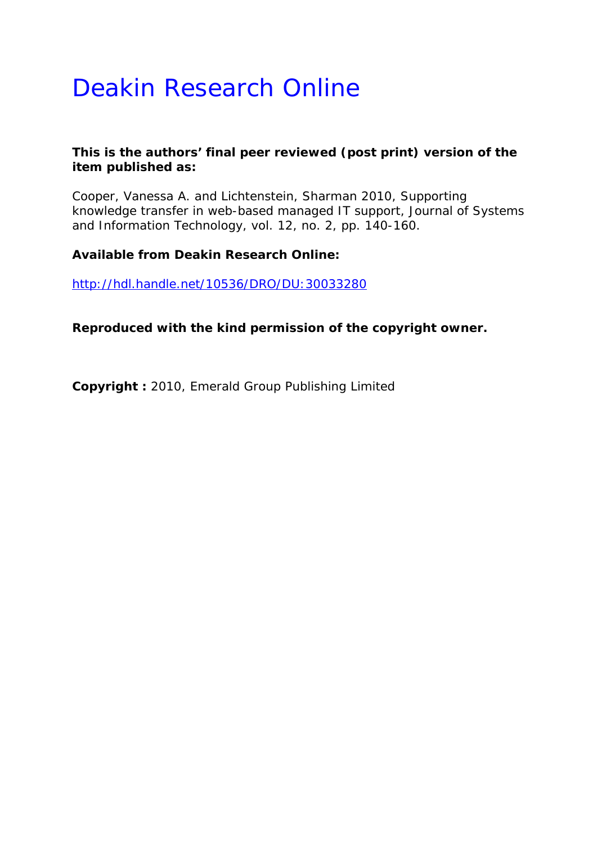# Deakin Research Online

## **This is the authors' final peer reviewed (post print) version of the item published as:**

Cooper, Vanessa A. and Lichtenstein, Sharman 2010, Supporting knowledge transfer in web-based managed IT support*, Journal of Systems and Information Technology*, vol. 12, no. 2, pp. 140-160.

**Available from Deakin Research Online:** 

http://hdl.handle.net/10536/DRO/DU:30033280

**Reproduced with the kind permission of the copyright owner.** 

**Copyright :** 2010, Emerald Group Publishing Limited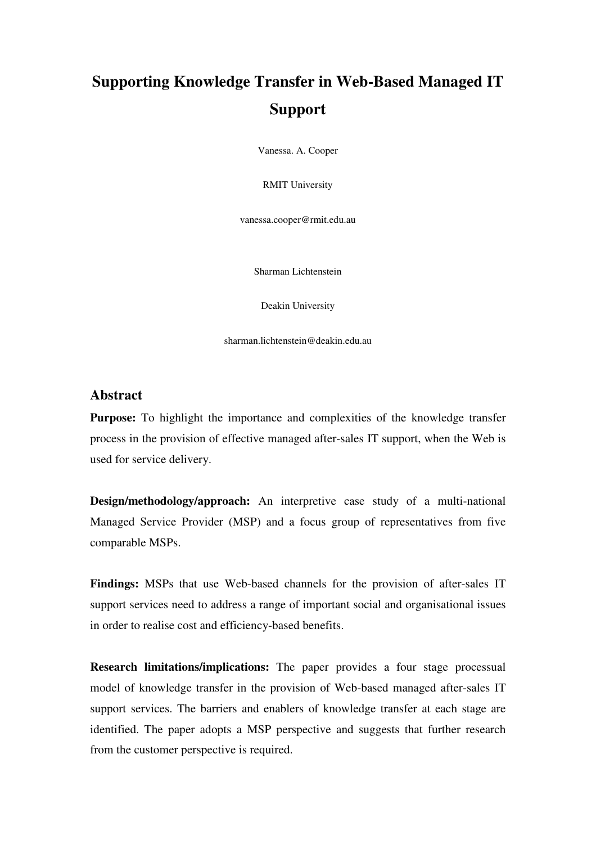# **Supporting Knowledge Transfer in Web-Based Managed IT Support**

Vanessa. A. Cooper

RMIT University

vanessa.cooper@rmit.edu.au

Sharman Lichtenstein

Deakin University

sharman.lichtenstein@deakin.edu.au

## **Abstract**

**Purpose:** To highlight the importance and complexities of the knowledge transfer process in the provision of effective managed after-sales IT support, when the Web is used for service delivery.

**Design/methodology/approach:** An interpretive case study of a multi-national Managed Service Provider (MSP) and a focus group of representatives from five comparable MSPs.

**Findings:** MSPs that use Web-based channels for the provision of after-sales IT support services need to address a range of important social and organisational issues in order to realise cost and efficiency-based benefits.

**Research limitations/implications:** The paper provides a four stage processual model of knowledge transfer in the provision of Web-based managed after-sales IT support services. The barriers and enablers of knowledge transfer at each stage are identified. The paper adopts a MSP perspective and suggests that further research from the customer perspective is required.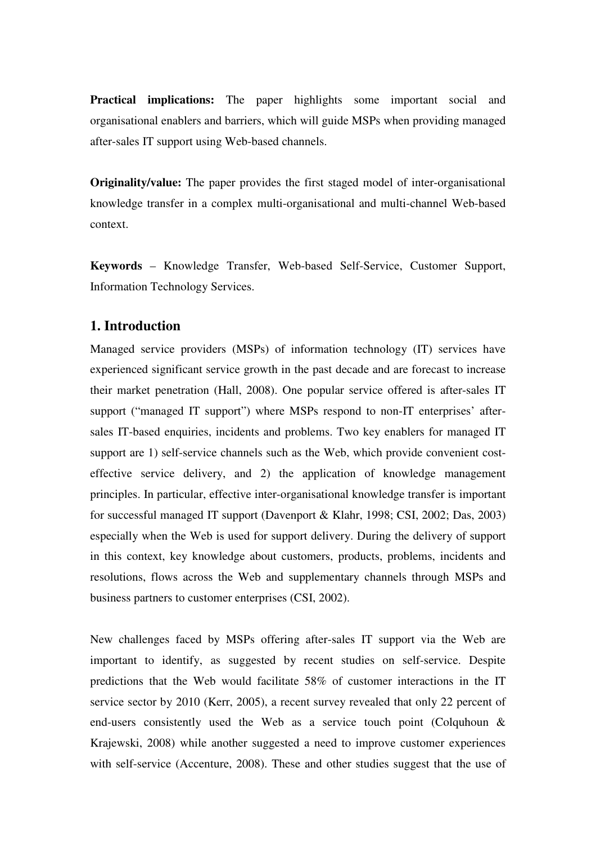**Practical implications:** The paper highlights some important social and organisational enablers and barriers, which will guide MSPs when providing managed after-sales IT support using Web-based channels.

**Originality/value:** The paper provides the first staged model of inter-organisational knowledge transfer in a complex multi-organisational and multi-channel Web-based context.

**Keywords** – Knowledge Transfer, Web-based Self-Service, Customer Support, Information Technology Services.

## **1. Introduction**

Managed service providers (MSPs) of information technology (IT) services have experienced significant service growth in the past decade and are forecast to increase their market penetration (Hall, 2008). One popular service offered is after-sales IT support ("managed IT support") where MSPs respond to non-IT enterprises' aftersales IT-based enquiries, incidents and problems. Two key enablers for managed IT support are 1) self-service channels such as the Web, which provide convenient costeffective service delivery, and 2) the application of knowledge management principles. In particular, effective inter-organisational knowledge transfer is important for successful managed IT support (Davenport & Klahr, 1998; CSI, 2002; Das, 2003) especially when the Web is used for support delivery. During the delivery of support in this context, key knowledge about customers, products, problems, incidents and resolutions, flows across the Web and supplementary channels through MSPs and business partners to customer enterprises (CSI, 2002).

New challenges faced by MSPs offering after-sales IT support via the Web are important to identify, as suggested by recent studies on self-service. Despite predictions that the Web would facilitate 58% of customer interactions in the IT service sector by 2010 (Kerr, 2005), a recent survey revealed that only 22 percent of end-users consistently used the Web as a service touch point (Colquhoun & Krajewski, 2008) while another suggested a need to improve customer experiences with self-service (Accenture, 2008). These and other studies suggest that the use of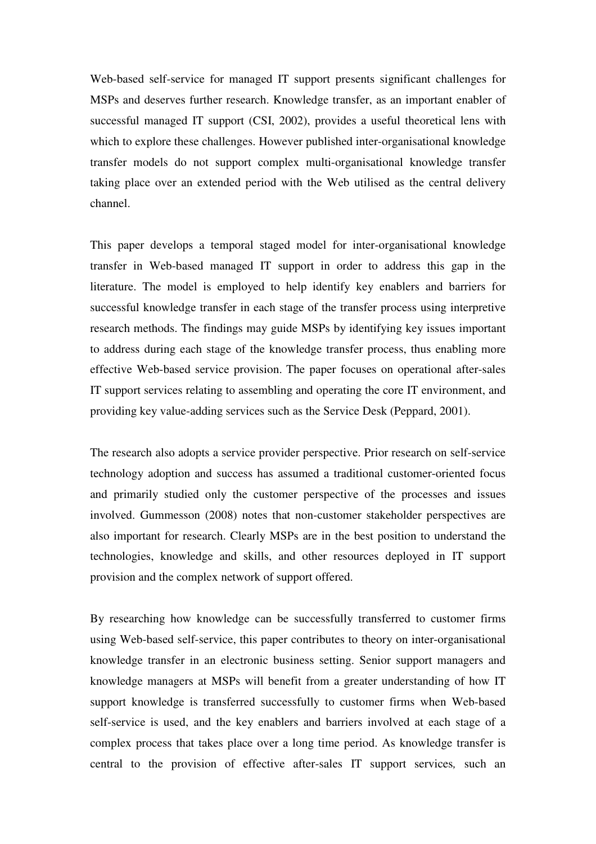Web-based self-service for managed IT support presents significant challenges for MSPs and deserves further research. Knowledge transfer, as an important enabler of successful managed IT support (CSI, 2002), provides a useful theoretical lens with which to explore these challenges. However published inter-organisational knowledge transfer models do not support complex multi-organisational knowledge transfer taking place over an extended period with the Web utilised as the central delivery channel.

This paper develops a temporal staged model for inter-organisational knowledge transfer in Web-based managed IT support in order to address this gap in the literature. The model is employed to help identify key enablers and barriers for successful knowledge transfer in each stage of the transfer process using interpretive research methods. The findings may guide MSPs by identifying key issues important to address during each stage of the knowledge transfer process, thus enabling more effective Web-based service provision. The paper focuses on operational after-sales IT support services relating to assembling and operating the core IT environment, and providing key value-adding services such as the Service Desk (Peppard, 2001).

The research also adopts a service provider perspective. Prior research on self-service technology adoption and success has assumed a traditional customer-oriented focus and primarily studied only the customer perspective of the processes and issues involved. Gummesson (2008) notes that non-customer stakeholder perspectives are also important for research. Clearly MSPs are in the best position to understand the technologies, knowledge and skills, and other resources deployed in IT support provision and the complex network of support offered.

By researching how knowledge can be successfully transferred to customer firms using Web-based self-service, this paper contributes to theory on inter-organisational knowledge transfer in an electronic business setting. Senior support managers and knowledge managers at MSPs will benefit from a greater understanding of how IT support knowledge is transferred successfully to customer firms when Web-based self-service is used, and the key enablers and barriers involved at each stage of a complex process that takes place over a long time period. As knowledge transfer is central to the provision of effective after-sales IT support services*,* such an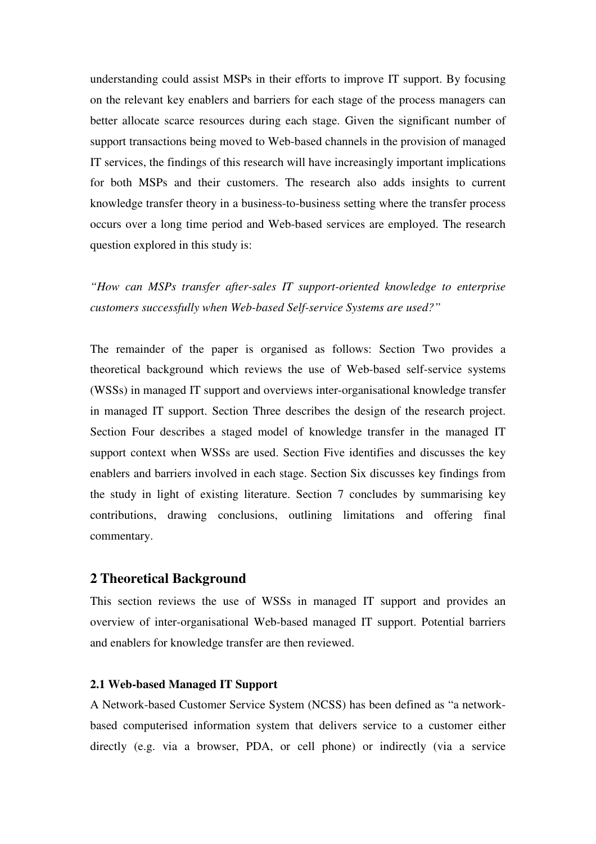understanding could assist MSPs in their efforts to improve IT support. By focusing on the relevant key enablers and barriers for each stage of the process managers can better allocate scarce resources during each stage. Given the significant number of support transactions being moved to Web-based channels in the provision of managed IT services, the findings of this research will have increasingly important implications for both MSPs and their customers. The research also adds insights to current knowledge transfer theory in a business-to-business setting where the transfer process occurs over a long time period and Web-based services are employed. The research question explored in this study is:

*"How can MSPs transfer after-sales IT support-oriented knowledge to enterprise customers successfully when Web-based Self-service Systems are used?"* 

The remainder of the paper is organised as follows: Section Two provides a theoretical background which reviews the use of Web-based self-service systems (WSSs) in managed IT support and overviews inter-organisational knowledge transfer in managed IT support. Section Three describes the design of the research project. Section Four describes a staged model of knowledge transfer in the managed IT support context when WSSs are used. Section Five identifies and discusses the key enablers and barriers involved in each stage. Section Six discusses key findings from the study in light of existing literature. Section 7 concludes by summarising key contributions, drawing conclusions, outlining limitations and offering final commentary.

## **2 Theoretical Background**

This section reviews the use of WSSs in managed IT support and provides an overview of inter-organisational Web-based managed IT support. Potential barriers and enablers for knowledge transfer are then reviewed.

### **2.1 Web-based Managed IT Support**

A Network-based Customer Service System (NCSS) has been defined as "a networkbased computerised information system that delivers service to a customer either directly (e.g. via a browser, PDA, or cell phone) or indirectly (via a service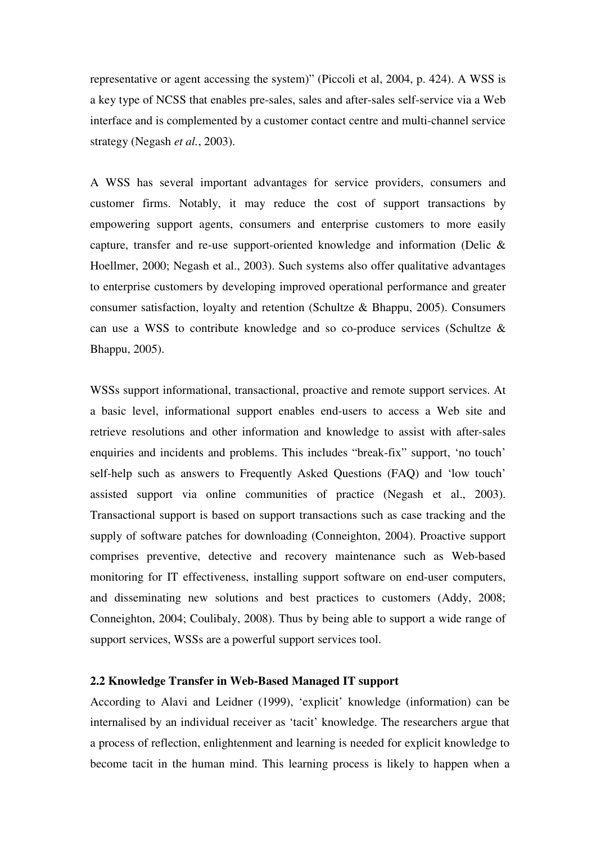representative or agent accessing the system)" (Piccoli et al, 2004, p. 424). A WSS is a key type of NCSS that enables pre-sales, sales and after-sales self-service via a Web interface and is complemented by a customer contact centre and multi-channel service strategy (Negash *et al.*, 2003).

A WSS has several important advantages for service providers, consumers and customer firms. Notably, it may reduce the cost of support transactions by empowering support agents, consumers and enterprise customers to more easily capture, transfer and re-use support-oriented knowledge and information (Delic  $\&$ Hoellmer, 2000; Negash et al., 2003). Such systems also offer qualitative advantages to enterprise customers by developing improved operational performance and greater consumer satisfaction, loyalty and retention (Schultze & Bhappu, 2005). Consumers can use a WSS to contribute knowledge and so co-produce services (Schultze & Bhappu, 2005).

WSSs support informational, transactional, proactive and remote support services. At a basic level, informational support enables end-users to access a Web site and retrieve resolutions and other information and knowledge to assist with after-sales enquiries and incidents and problems. This includes "break-fix" support, 'no touch' self-help such as answers to Frequently Asked Questions (FAQ) and 'low touch' assisted support via online communities of practice (Negash et al., 2003). Transactional support is based on support transactions such as case tracking and the supply of software patches for downloading (Conneighton, 2004). Proactive support comprises preventive, detective and recovery maintenance such as Web-based monitoring for IT effectiveness, installing support software on end-user computers, and disseminating new solutions and best practices to customers (Addy, 2008; Conneighton, 2004; Coulibaly, 2008). Thus by being able to support a wide range of support services, WSSs are a powerful support services tool.

### **2.2 Knowledge Transfer in Web-Based Managed IT support**

According to Alavi and Leidner (1999), 'explicit' knowledge (information) can be internalised by an individual receiver as 'tacit' knowledge. The researchers argue that a process of reflection, enlightenment and learning is needed for explicit knowledge to become tacit in the human mind. This learning process is likely to happen when a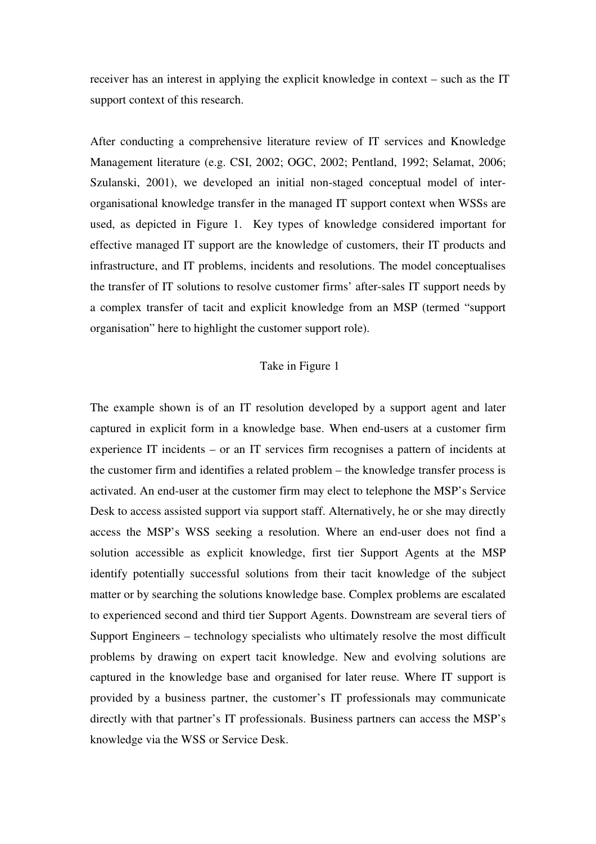receiver has an interest in applying the explicit knowledge in context – such as the IT support context of this research.

After conducting a comprehensive literature review of IT services and Knowledge Management literature (e.g. CSI, 2002; OGC, 2002; Pentland, 1992; Selamat, 2006; Szulanski, 2001), we developed an initial non-staged conceptual model of interorganisational knowledge transfer in the managed IT support context when WSSs are used, as depicted in Figure 1. Key types of knowledge considered important for effective managed IT support are the knowledge of customers, their IT products and infrastructure, and IT problems, incidents and resolutions. The model conceptualises the transfer of IT solutions to resolve customer firms' after-sales IT support needs by a complex transfer of tacit and explicit knowledge from an MSP (termed "support organisation" here to highlight the customer support role).

### Take in Figure 1

The example shown is of an IT resolution developed by a support agent and later captured in explicit form in a knowledge base. When end-users at a customer firm experience IT incidents – or an IT services firm recognises a pattern of incidents at the customer firm and identifies a related problem – the knowledge transfer process is activated. An end-user at the customer firm may elect to telephone the MSP's Service Desk to access assisted support via support staff. Alternatively, he or she may directly access the MSP's WSS seeking a resolution. Where an end-user does not find a solution accessible as explicit knowledge, first tier Support Agents at the MSP identify potentially successful solutions from their tacit knowledge of the subject matter or by searching the solutions knowledge base. Complex problems are escalated to experienced second and third tier Support Agents. Downstream are several tiers of Support Engineers – technology specialists who ultimately resolve the most difficult problems by drawing on expert tacit knowledge. New and evolving solutions are captured in the knowledge base and organised for later reuse. Where IT support is provided by a business partner, the customer's IT professionals may communicate directly with that partner's IT professionals. Business partners can access the MSP's knowledge via the WSS or Service Desk.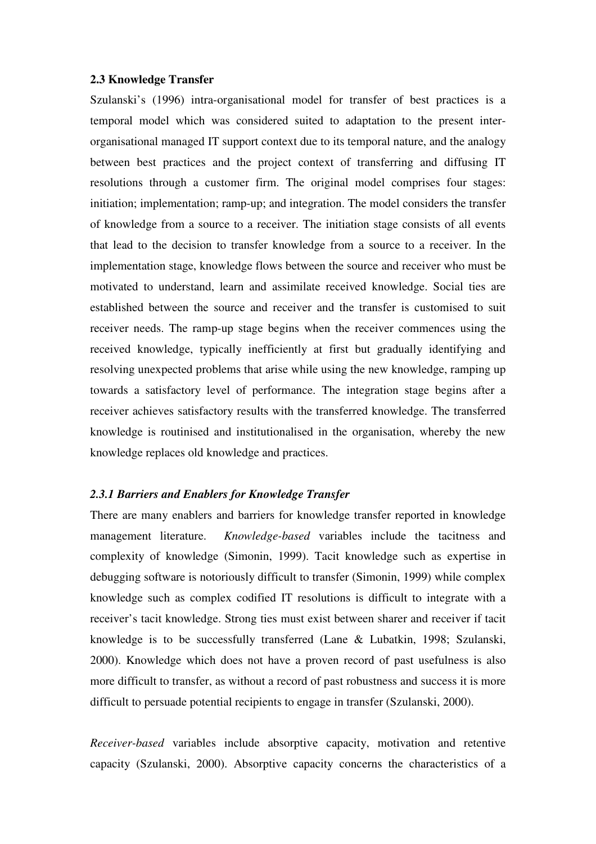#### **2.3 Knowledge Transfer**

Szulanski's (1996) intra-organisational model for transfer of best practices is a temporal model which was considered suited to adaptation to the present interorganisational managed IT support context due to its temporal nature, and the analogy between best practices and the project context of transferring and diffusing IT resolutions through a customer firm. The original model comprises four stages: initiation; implementation; ramp-up; and integration. The model considers the transfer of knowledge from a source to a receiver. The initiation stage consists of all events that lead to the decision to transfer knowledge from a source to a receiver. In the implementation stage, knowledge flows between the source and receiver who must be motivated to understand, learn and assimilate received knowledge. Social ties are established between the source and receiver and the transfer is customised to suit receiver needs. The ramp-up stage begins when the receiver commences using the received knowledge, typically inefficiently at first but gradually identifying and resolving unexpected problems that arise while using the new knowledge, ramping up towards a satisfactory level of performance. The integration stage begins after a receiver achieves satisfactory results with the transferred knowledge. The transferred knowledge is routinised and institutionalised in the organisation, whereby the new knowledge replaces old knowledge and practices.

### *2.3.1 Barriers and Enablers for Knowledge Transfer*

There are many enablers and barriers for knowledge transfer reported in knowledge management literature. *Knowledge-based* variables include the tacitness and complexity of knowledge (Simonin, 1999). Tacit knowledge such as expertise in debugging software is notoriously difficult to transfer (Simonin, 1999) while complex knowledge such as complex codified IT resolutions is difficult to integrate with a receiver's tacit knowledge. Strong ties must exist between sharer and receiver if tacit knowledge is to be successfully transferred (Lane & Lubatkin, 1998; Szulanski, 2000). Knowledge which does not have a proven record of past usefulness is also more difficult to transfer, as without a record of past robustness and success it is more difficult to persuade potential recipients to engage in transfer (Szulanski, 2000).

*Receiver-based* variables include absorptive capacity, motivation and retentive capacity (Szulanski, 2000). Absorptive capacity concerns the characteristics of a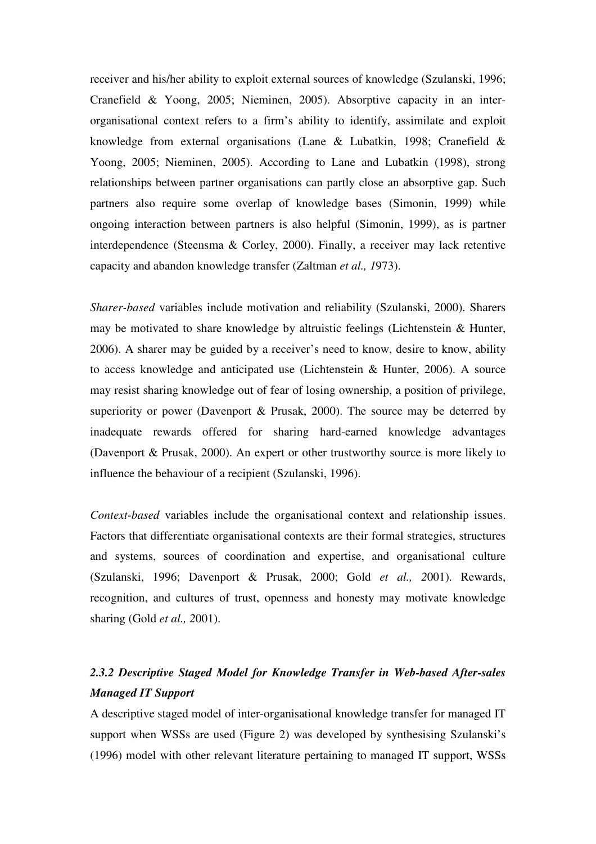receiver and his/her ability to exploit external sources of knowledge (Szulanski, 1996; Cranefield & Yoong, 2005; Nieminen, 2005). Absorptive capacity in an interorganisational context refers to a firm's ability to identify, assimilate and exploit knowledge from external organisations (Lane & Lubatkin, 1998; Cranefield & Yoong, 2005; Nieminen, 2005). According to Lane and Lubatkin (1998), strong relationships between partner organisations can partly close an absorptive gap. Such partners also require some overlap of knowledge bases (Simonin, 1999) while ongoing interaction between partners is also helpful (Simonin, 1999), as is partner interdependence (Steensma & Corley, 2000). Finally, a receiver may lack retentive capacity and abandon knowledge transfer (Zaltman *et al., 1*973).

*Sharer-based* variables include motivation and reliability (Szulanski, 2000). Sharers may be motivated to share knowledge by altruistic feelings (Lichtenstein & Hunter, 2006). A sharer may be guided by a receiver's need to know, desire to know, ability to access knowledge and anticipated use (Lichtenstein & Hunter, 2006). A source may resist sharing knowledge out of fear of losing ownership, a position of privilege, superiority or power (Davenport  $\&$  Prusak, 2000). The source may be deterred by inadequate rewards offered for sharing hard-earned knowledge advantages (Davenport & Prusak, 2000). An expert or other trustworthy source is more likely to influence the behaviour of a recipient (Szulanski, 1996).

*Context-based* variables include the organisational context and relationship issues. Factors that differentiate organisational contexts are their formal strategies, structures and systems, sources of coordination and expertise, and organisational culture (Szulanski, 1996; Davenport & Prusak, 2000; Gold *et al., 2*001). Rewards, recognition, and cultures of trust, openness and honesty may motivate knowledge sharing (Gold *et al., 2*001).

# *2.3.2 Descriptive Staged Model for Knowledge Transfer in Web-based After-sales Managed IT Support*

A descriptive staged model of inter-organisational knowledge transfer for managed IT support when WSSs are used (Figure 2) was developed by synthesising Szulanski's (1996) model with other relevant literature pertaining to managed IT support, WSSs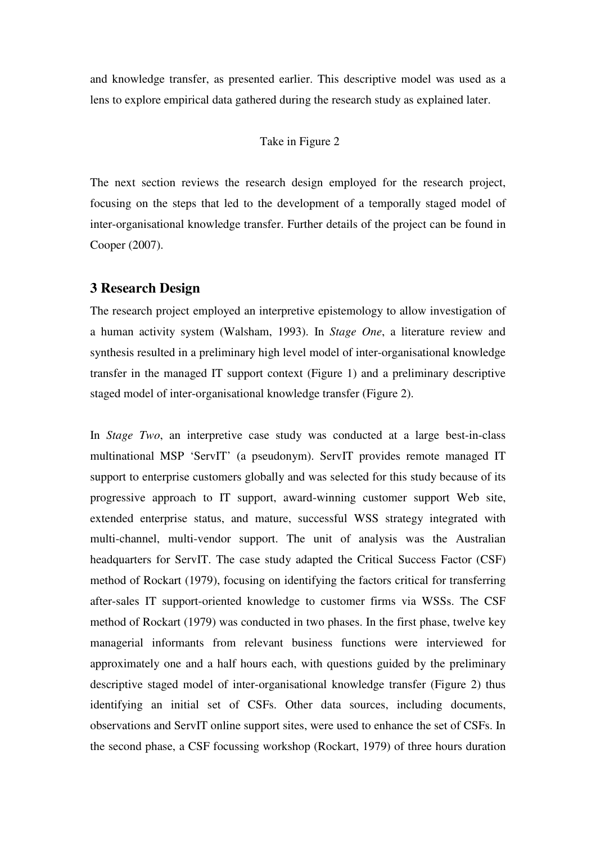and knowledge transfer, as presented earlier. This descriptive model was used as a lens to explore empirical data gathered during the research study as explained later.

### Take in Figure 2

The next section reviews the research design employed for the research project, focusing on the steps that led to the development of a temporally staged model of inter-organisational knowledge transfer. Further details of the project can be found in Cooper (2007).

## **3 Research Design**

The research project employed an interpretive epistemology to allow investigation of a human activity system (Walsham, 1993). In *Stage One*, a literature review and synthesis resulted in a preliminary high level model of inter-organisational knowledge transfer in the managed IT support context (Figure 1) and a preliminary descriptive staged model of inter-organisational knowledge transfer (Figure 2).

In *Stage Two*, an interpretive case study was conducted at a large best-in-class multinational MSP 'ServIT' (a pseudonym). ServIT provides remote managed IT support to enterprise customers globally and was selected for this study because of its progressive approach to IT support, award-winning customer support Web site, extended enterprise status, and mature, successful WSS strategy integrated with multi-channel, multi-vendor support. The unit of analysis was the Australian headquarters for ServIT. The case study adapted the Critical Success Factor (CSF) method of Rockart (1979), focusing on identifying the factors critical for transferring after-sales IT support-oriented knowledge to customer firms via WSSs. The CSF method of Rockart (1979) was conducted in two phases. In the first phase, twelve key managerial informants from relevant business functions were interviewed for approximately one and a half hours each, with questions guided by the preliminary descriptive staged model of inter-organisational knowledge transfer (Figure 2) thus identifying an initial set of CSFs. Other data sources, including documents, observations and ServIT online support sites, were used to enhance the set of CSFs. In the second phase, a CSF focussing workshop (Rockart, 1979) of three hours duration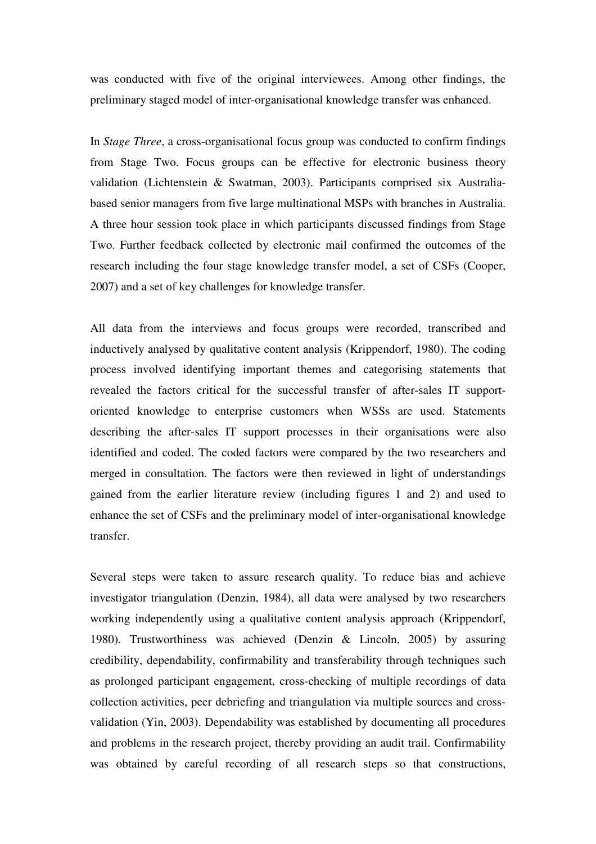was conducted with five of the original interviewees. Among other findings, the preliminary staged model of inter-organisational knowledge transfer was enhanced.

In *Stage Three*, a cross-organisational focus group was conducted to confirm findings from Stage Two. Focus groups can be effective for electronic business theory validation (Lichtenstein & Swatman, 2003). Participants comprised six Australiabased senior managers from five large multinational MSPs with branches in Australia. A three hour session took place in which participants discussed findings from Stage Two. Further feedback collected by electronic mail confirmed the outcomes of the research including the four stage knowledge transfer model, a set of CSFs (Cooper, 2007) and a set of key challenges for knowledge transfer.

All data from the interviews and focus groups were recorded, transcribed and inductively analysed by qualitative content analysis (Krippendorf, 1980). The coding process involved identifying important themes and categorising statements that revealed the factors critical for the successful transfer of after-sales IT supportoriented knowledge to enterprise customers when WSSs are used. Statements describing the after-sales IT support processes in their organisations were also identified and coded. The coded factors were compared by the two researchers and merged in consultation. The factors were then reviewed in light of understandings gained from the earlier literature review (including figures 1 and 2) and used to enhance the set of CSFs and the preliminary model of inter-organisational knowledge transfer.

Several steps were taken to assure research quality. To reduce bias and achieve investigator triangulation (Denzin, 1984), all data were analysed by two researchers working independently using a qualitative content analysis approach (Krippendorf, 1980). Trustworthiness was achieved (Denzin & Lincoln, 2005) by assuring credibility, dependability, confirmability and transferability through techniques such as prolonged participant engagement, cross-checking of multiple recordings of data collection activities, peer debriefing and triangulation via multiple sources and crossvalidation (Yin, 2003). Dependability was established by documenting all procedures and problems in the research project, thereby providing an audit trail. Confirmability was obtained by careful recording of all research steps so that constructions,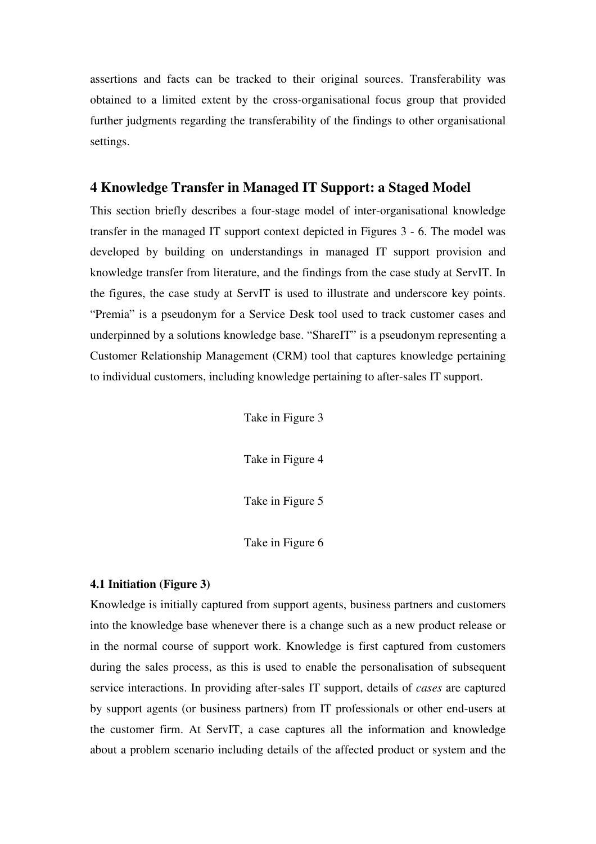assertions and facts can be tracked to their original sources. Transferability was obtained to a limited extent by the cross-organisational focus group that provided further judgments regarding the transferability of the findings to other organisational settings.

## **4 Knowledge Transfer in Managed IT Support: a Staged Model**

This section briefly describes a four-stage model of inter-organisational knowledge transfer in the managed IT support context depicted in Figures 3 - 6. The model was developed by building on understandings in managed IT support provision and knowledge transfer from literature, and the findings from the case study at ServIT. In the figures, the case study at ServIT is used to illustrate and underscore key points. "Premia" is a pseudonym for a Service Desk tool used to track customer cases and underpinned by a solutions knowledge base. "ShareIT" is a pseudonym representing a Customer Relationship Management (CRM) tool that captures knowledge pertaining to individual customers, including knowledge pertaining to after-sales IT support.

Take in Figure 3

Take in Figure 4

Take in Figure 5

Take in Figure 6

#### **4.1 Initiation (Figure 3)**

Knowledge is initially captured from support agents, business partners and customers into the knowledge base whenever there is a change such as a new product release or in the normal course of support work. Knowledge is first captured from customers during the sales process, as this is used to enable the personalisation of subsequent service interactions. In providing after-sales IT support, details of *cases* are captured by support agents (or business partners) from IT professionals or other end-users at the customer firm. At ServIT, a case captures all the information and knowledge about a problem scenario including details of the affected product or system and the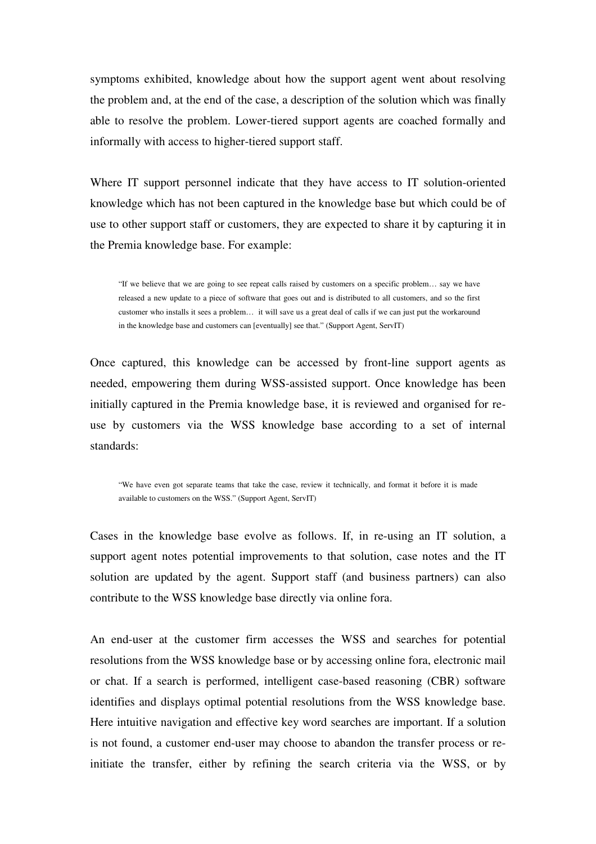symptoms exhibited, knowledge about how the support agent went about resolving the problem and, at the end of the case, a description of the solution which was finally able to resolve the problem. Lower-tiered support agents are coached formally and informally with access to higher-tiered support staff.

Where IT support personnel indicate that they have access to IT solution-oriented knowledge which has not been captured in the knowledge base but which could be of use to other support staff or customers, they are expected to share it by capturing it in the Premia knowledge base. For example:

"If we believe that we are going to see repeat calls raised by customers on a specific problem… say we have released a new update to a piece of software that goes out and is distributed to all customers, and so the first customer who installs it sees a problem… it will save us a great deal of calls if we can just put the workaround in the knowledge base and customers can [eventually] see that." (Support Agent, ServIT)

Once captured, this knowledge can be accessed by front-line support agents as needed, empowering them during WSS-assisted support. Once knowledge has been initially captured in the Premia knowledge base, it is reviewed and organised for reuse by customers via the WSS knowledge base according to a set of internal standards:

"We have even got separate teams that take the case, review it technically, and format it before it is made available to customers on the WSS." (Support Agent, ServIT)

Cases in the knowledge base evolve as follows. If, in re-using an IT solution, a support agent notes potential improvements to that solution, case notes and the IT solution are updated by the agent. Support staff (and business partners) can also contribute to the WSS knowledge base directly via online fora.

An end-user at the customer firm accesses the WSS and searches for potential resolutions from the WSS knowledge base or by accessing online fora, electronic mail or chat. If a search is performed, intelligent case-based reasoning (CBR) software identifies and displays optimal potential resolutions from the WSS knowledge base. Here intuitive navigation and effective key word searches are important. If a solution is not found, a customer end-user may choose to abandon the transfer process or reinitiate the transfer, either by refining the search criteria via the WSS, or by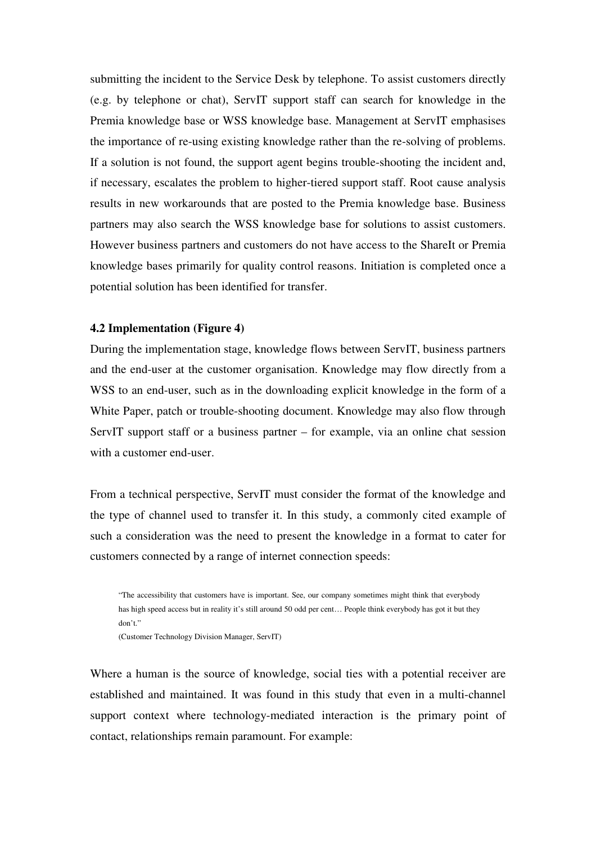submitting the incident to the Service Desk by telephone. To assist customers directly (e.g. by telephone or chat), ServIT support staff can search for knowledge in the Premia knowledge base or WSS knowledge base. Management at ServIT emphasises the importance of re-using existing knowledge rather than the re-solving of problems. If a solution is not found, the support agent begins trouble-shooting the incident and, if necessary, escalates the problem to higher-tiered support staff. Root cause analysis results in new workarounds that are posted to the Premia knowledge base. Business partners may also search the WSS knowledge base for solutions to assist customers. However business partners and customers do not have access to the ShareIt or Premia knowledge bases primarily for quality control reasons. Initiation is completed once a potential solution has been identified for transfer.

#### **4.2 Implementation (Figure 4)**

During the implementation stage, knowledge flows between ServIT, business partners and the end-user at the customer organisation. Knowledge may flow directly from a WSS to an end-user, such as in the downloading explicit knowledge in the form of a White Paper, patch or trouble-shooting document. Knowledge may also flow through ServIT support staff or a business partner – for example, via an online chat session with a customer end-user.

From a technical perspective, ServIT must consider the format of the knowledge and the type of channel used to transfer it. In this study, a commonly cited example of such a consideration was the need to present the knowledge in a format to cater for customers connected by a range of internet connection speeds:

(Customer Technology Division Manager, ServIT)

Where a human is the source of knowledge, social ties with a potential receiver are established and maintained. It was found in this study that even in a multi-channel support context where technology-mediated interaction is the primary point of contact, relationships remain paramount. For example:

<sup>&</sup>quot;The accessibility that customers have is important. See, our company sometimes might think that everybody has high speed access but in reality it's still around 50 odd per cent... People think everybody has got it but they  $dom't$ ."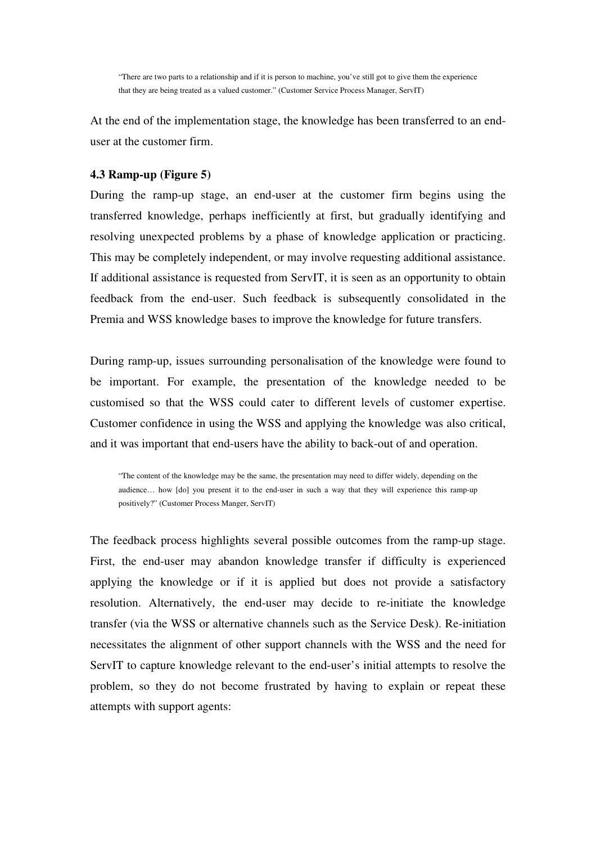"There are two parts to a relationship and if it is person to machine, you've still got to give them the experience that they are being treated as a valued customer." (Customer Service Process Manager, ServIT)

At the end of the implementation stage, the knowledge has been transferred to an enduser at the customer firm.

#### **4.3 Ramp-up (Figure 5)**

During the ramp-up stage, an end-user at the customer firm begins using the transferred knowledge, perhaps inefficiently at first, but gradually identifying and resolving unexpected problems by a phase of knowledge application or practicing. This may be completely independent, or may involve requesting additional assistance. If additional assistance is requested from ServIT, it is seen as an opportunity to obtain feedback from the end-user. Such feedback is subsequently consolidated in the Premia and WSS knowledge bases to improve the knowledge for future transfers.

During ramp-up, issues surrounding personalisation of the knowledge were found to be important. For example, the presentation of the knowledge needed to be customised so that the WSS could cater to different levels of customer expertise. Customer confidence in using the WSS and applying the knowledge was also critical, and it was important that end-users have the ability to back-out of and operation.

"The content of the knowledge may be the same, the presentation may need to differ widely, depending on the audience… how [do] you present it to the end-user in such a way that they will experience this ramp-up positively?" (Customer Process Manger, ServIT)

The feedback process highlights several possible outcomes from the ramp-up stage. First, the end-user may abandon knowledge transfer if difficulty is experienced applying the knowledge or if it is applied but does not provide a satisfactory resolution. Alternatively, the end-user may decide to re-initiate the knowledge transfer (via the WSS or alternative channels such as the Service Desk). Re-initiation necessitates the alignment of other support channels with the WSS and the need for ServIT to capture knowledge relevant to the end-user's initial attempts to resolve the problem, so they do not become frustrated by having to explain or repeat these attempts with support agents: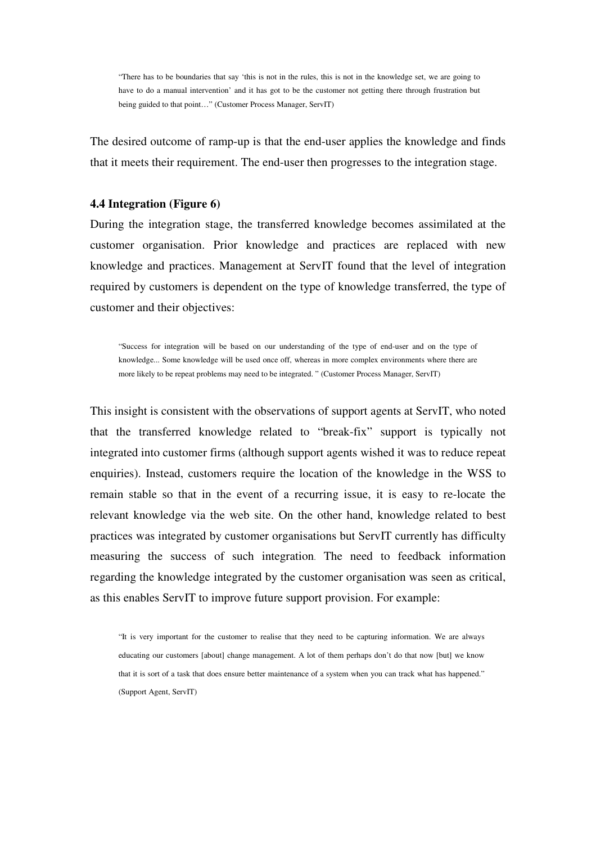"There has to be boundaries that say 'this is not in the rules, this is not in the knowledge set, we are going to have to do a manual intervention' and it has got to be the customer not getting there through frustration but being guided to that point..." (Customer Process Manager, ServIT)

The desired outcome of ramp-up is that the end-user applies the knowledge and finds that it meets their requirement. The end-user then progresses to the integration stage.

### **4.4 Integration (Figure 6)**

During the integration stage, the transferred knowledge becomes assimilated at the customer organisation. Prior knowledge and practices are replaced with new knowledge and practices. Management at ServIT found that the level of integration required by customers is dependent on the type of knowledge transferred, the type of customer and their objectives:

"Success for integration will be based on our understanding of the type of end-user and on the type of knowledge... Some knowledge will be used once off, whereas in more complex environments where there are more likely to be repeat problems may need to be integrated. " (Customer Process Manager, ServIT)

This insight is consistent with the observations of support agents at ServIT, who noted that the transferred knowledge related to "break-fix" support is typically not integrated into customer firms (although support agents wished it was to reduce repeat enquiries). Instead, customers require the location of the knowledge in the WSS to remain stable so that in the event of a recurring issue, it is easy to re-locate the relevant knowledge via the web site. On the other hand, knowledge related to best practices was integrated by customer organisations but ServIT currently has difficulty measuring the success of such integration. The need to feedback information regarding the knowledge integrated by the customer organisation was seen as critical, as this enables ServIT to improve future support provision. For example:

"It is very important for the customer to realise that they need to be capturing information. We are always educating our customers [about] change management. A lot of them perhaps don't do that now [but] we know that it is sort of a task that does ensure better maintenance of a system when you can track what has happened." (Support Agent, ServIT)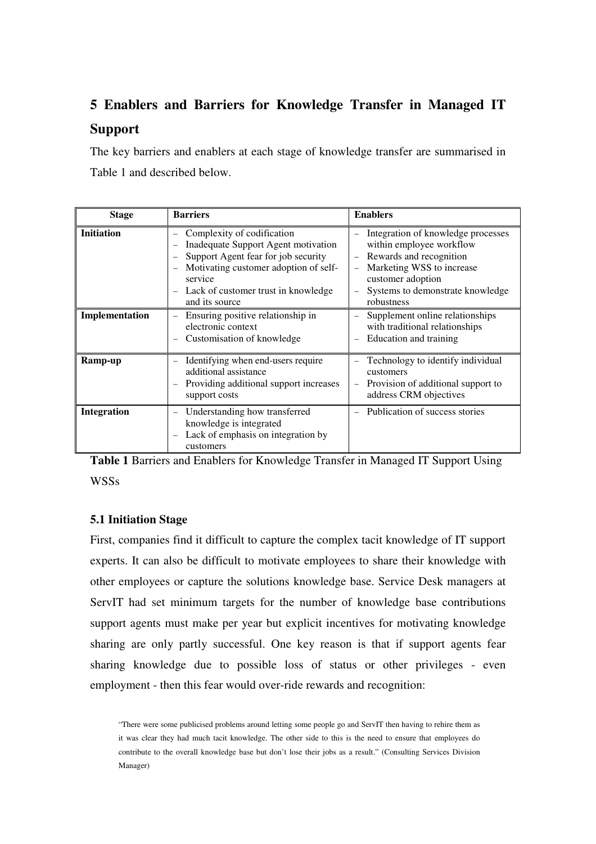# **5 Enablers and Barriers for Knowledge Transfer in Managed IT Support**

The key barriers and enablers at each stage of knowledge transfer are summarised in Table 1 and described below.

| <b>Stage</b>       | <b>Barriers</b>                                                                                                                                                                                                       | <b>Enablers</b>                                                                                                                                                                               |
|--------------------|-----------------------------------------------------------------------------------------------------------------------------------------------------------------------------------------------------------------------|-----------------------------------------------------------------------------------------------------------------------------------------------------------------------------------------------|
| <b>Initiation</b>  | Complexity of codification<br>Inadequate Support Agent motivation<br>Support Agent fear for job security<br>Motivating customer adoption of self-<br>service<br>Lack of customer trust in knowledge<br>and its source | Integration of knowledge processes<br>within employee workflow<br>Rewards and recognition<br>Marketing WSS to increase<br>customer adoption<br>Systems to demonstrate knowledge<br>robustness |
| Implementation     | Ensuring positive relationship in<br>$\overline{\phantom{0}}$<br>electronic context<br>Customisation of knowledge                                                                                                     | Supplement online relationships<br>with traditional relationships<br>Education and training                                                                                                   |
| Ramp-up            | Identifying when end-users require<br>additional assistance<br>Providing additional support increases<br>support costs                                                                                                | Technology to identify individual<br>customers<br>Provision of additional support to<br>address CRM objectives                                                                                |
| <b>Integration</b> | Understanding how transferred<br>$\qquad \qquad -$<br>knowledge is integrated<br>Lack of emphasis on integration by<br>customers                                                                                      | Publication of success stories                                                                                                                                                                |

**Table 1** Barriers and Enablers for Knowledge Transfer in Managed IT Support Using **WSSs** 

## **5.1 Initiation Stage**

First, companies find it difficult to capture the complex tacit knowledge of IT support experts. It can also be difficult to motivate employees to share their knowledge with other employees or capture the solutions knowledge base. Service Desk managers at ServIT had set minimum targets for the number of knowledge base contributions support agents must make per year but explicit incentives for motivating knowledge sharing are only partly successful. One key reason is that if support agents fear sharing knowledge due to possible loss of status or other privileges - even employment - then this fear would over-ride rewards and recognition:

"There were some publicised problems around letting some people go and ServIT then having to rehire them as it was clear they had much tacit knowledge. The other side to this is the need to ensure that employees do contribute to the overall knowledge base but don't lose their jobs as a result." (Consulting Services Division Manager)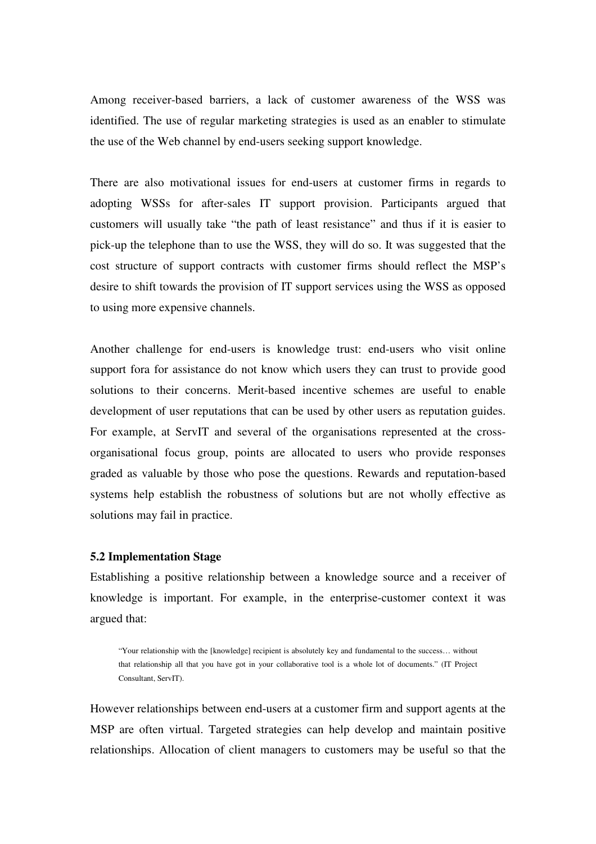Among receiver-based barriers, a lack of customer awareness of the WSS was identified. The use of regular marketing strategies is used as an enabler to stimulate the use of the Web channel by end-users seeking support knowledge.

There are also motivational issues for end-users at customer firms in regards to adopting WSSs for after-sales IT support provision. Participants argued that customers will usually take "the path of least resistance" and thus if it is easier to pick-up the telephone than to use the WSS, they will do so. It was suggested that the cost structure of support contracts with customer firms should reflect the MSP's desire to shift towards the provision of IT support services using the WSS as opposed to using more expensive channels.

Another challenge for end-users is knowledge trust: end-users who visit online support fora for assistance do not know which users they can trust to provide good solutions to their concerns. Merit-based incentive schemes are useful to enable development of user reputations that can be used by other users as reputation guides. For example, at ServIT and several of the organisations represented at the crossorganisational focus group, points are allocated to users who provide responses graded as valuable by those who pose the questions. Rewards and reputation-based systems help establish the robustness of solutions but are not wholly effective as solutions may fail in practice.

#### **5.2 Implementation Stage**

Establishing a positive relationship between a knowledge source and a receiver of knowledge is important. For example, in the enterprise-customer context it was argued that:

"Your relationship with the [knowledge] recipient is absolutely key and fundamental to the success… without that relationship all that you have got in your collaborative tool is a whole lot of documents." (IT Project Consultant, ServIT).

However relationships between end-users at a customer firm and support agents at the MSP are often virtual. Targeted strategies can help develop and maintain positive relationships. Allocation of client managers to customers may be useful so that the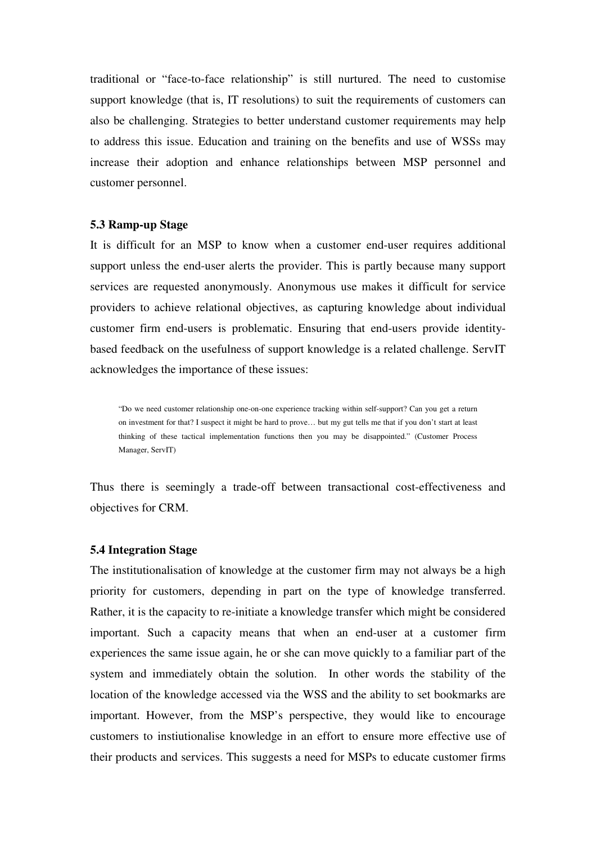traditional or "face-to-face relationship" is still nurtured. The need to customise support knowledge (that is, IT resolutions) to suit the requirements of customers can also be challenging. Strategies to better understand customer requirements may help to address this issue. Education and training on the benefits and use of WSSs may increase their adoption and enhance relationships between MSP personnel and customer personnel.

#### **5.3 Ramp-up Stage**

It is difficult for an MSP to know when a customer end-user requires additional support unless the end-user alerts the provider. This is partly because many support services are requested anonymously. Anonymous use makes it difficult for service providers to achieve relational objectives, as capturing knowledge about individual customer firm end-users is problematic. Ensuring that end-users provide identitybased feedback on the usefulness of support knowledge is a related challenge. ServIT acknowledges the importance of these issues:

"Do we need customer relationship one-on-one experience tracking within self-support? Can you get a return on investment for that? I suspect it might be hard to prove… but my gut tells me that if you don't start at least thinking of these tactical implementation functions then you may be disappointed." (Customer Process Manager, ServIT)

Thus there is seemingly a trade-off between transactional cost-effectiveness and objectives for CRM.

#### **5.4 Integration Stage**

The institutionalisation of knowledge at the customer firm may not always be a high priority for customers, depending in part on the type of knowledge transferred. Rather, it is the capacity to re-initiate a knowledge transfer which might be considered important. Such a capacity means that when an end-user at a customer firm experiences the same issue again, he or she can move quickly to a familiar part of the system and immediately obtain the solution. In other words the stability of the location of the knowledge accessed via the WSS and the ability to set bookmarks are important. However, from the MSP's perspective, they would like to encourage customers to instiutionalise knowledge in an effort to ensure more effective use of their products and services. This suggests a need for MSPs to educate customer firms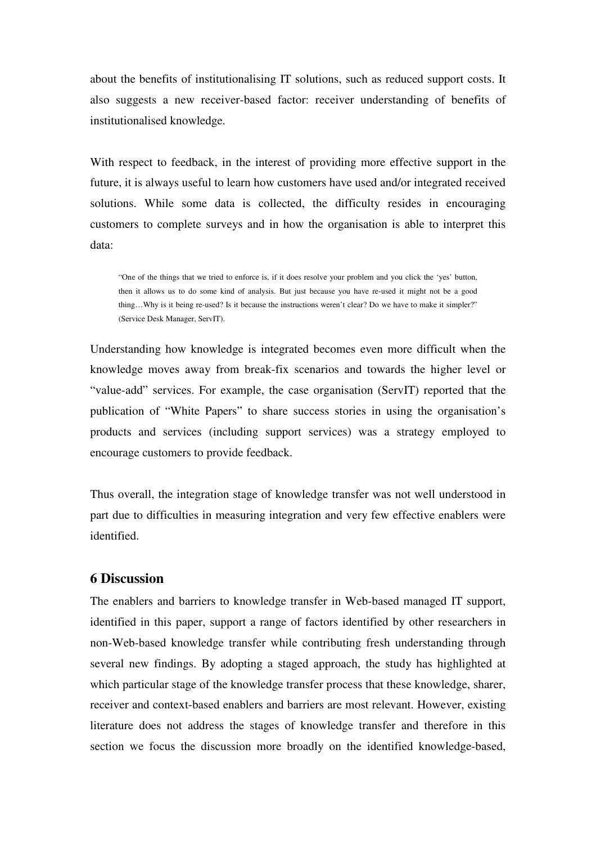about the benefits of institutionalising IT solutions, such as reduced support costs. It also suggests a new receiver-based factor: receiver understanding of benefits of institutionalised knowledge.

With respect to feedback, in the interest of providing more effective support in the future, it is always useful to learn how customers have used and/or integrated received solutions. While some data is collected, the difficulty resides in encouraging customers to complete surveys and in how the organisation is able to interpret this data:

"One of the things that we tried to enforce is, if it does resolve your problem and you click the 'yes' button, then it allows us to do some kind of analysis. But just because you have re-used it might not be a good thing…Why is it being re-used? Is it because the instructions weren't clear? Do we have to make it simpler?" (Service Desk Manager, ServIT).

Understanding how knowledge is integrated becomes even more difficult when the knowledge moves away from break-fix scenarios and towards the higher level or "value-add" services. For example, the case organisation (ServIT) reported that the publication of "White Papers" to share success stories in using the organisation's products and services (including support services) was a strategy employed to encourage customers to provide feedback.

Thus overall, the integration stage of knowledge transfer was not well understood in part due to difficulties in measuring integration and very few effective enablers were identified.

## **6 Discussion**

The enablers and barriers to knowledge transfer in Web-based managed IT support, identified in this paper, support a range of factors identified by other researchers in non-Web-based knowledge transfer while contributing fresh understanding through several new findings. By adopting a staged approach, the study has highlighted at which particular stage of the knowledge transfer process that these knowledge, sharer, receiver and context-based enablers and barriers are most relevant. However, existing literature does not address the stages of knowledge transfer and therefore in this section we focus the discussion more broadly on the identified knowledge-based,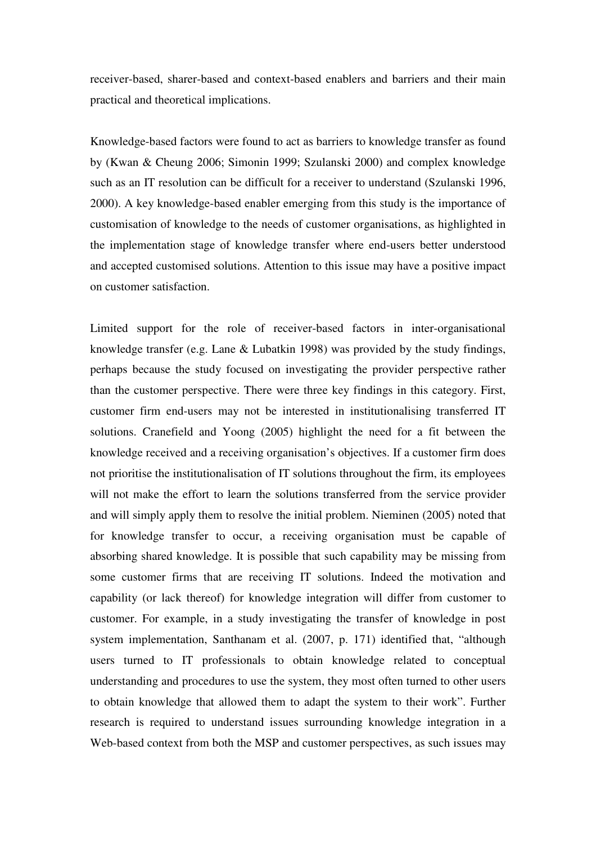receiver-based, sharer-based and context-based enablers and barriers and their main practical and theoretical implications.

Knowledge-based factors were found to act as barriers to knowledge transfer as found by (Kwan & Cheung 2006; Simonin 1999; Szulanski 2000) and complex knowledge such as an IT resolution can be difficult for a receiver to understand (Szulanski 1996, 2000). A key knowledge-based enabler emerging from this study is the importance of customisation of knowledge to the needs of customer organisations, as highlighted in the implementation stage of knowledge transfer where end-users better understood and accepted customised solutions. Attention to this issue may have a positive impact on customer satisfaction.

Limited support for the role of receiver-based factors in inter-organisational knowledge transfer (e.g. Lane & Lubatkin 1998) was provided by the study findings, perhaps because the study focused on investigating the provider perspective rather than the customer perspective. There were three key findings in this category. First, customer firm end-users may not be interested in institutionalising transferred IT solutions. Cranefield and Yoong (2005) highlight the need for a fit between the knowledge received and a receiving organisation's objectives. If a customer firm does not prioritise the institutionalisation of IT solutions throughout the firm, its employees will not make the effort to learn the solutions transferred from the service provider and will simply apply them to resolve the initial problem. Nieminen (2005) noted that for knowledge transfer to occur, a receiving organisation must be capable of absorbing shared knowledge. It is possible that such capability may be missing from some customer firms that are receiving IT solutions. Indeed the motivation and capability (or lack thereof) for knowledge integration will differ from customer to customer. For example, in a study investigating the transfer of knowledge in post system implementation, Santhanam et al. (2007, p. 171) identified that, "although users turned to IT professionals to obtain knowledge related to conceptual understanding and procedures to use the system, they most often turned to other users to obtain knowledge that allowed them to adapt the system to their work". Further research is required to understand issues surrounding knowledge integration in a Web-based context from both the MSP and customer perspectives, as such issues may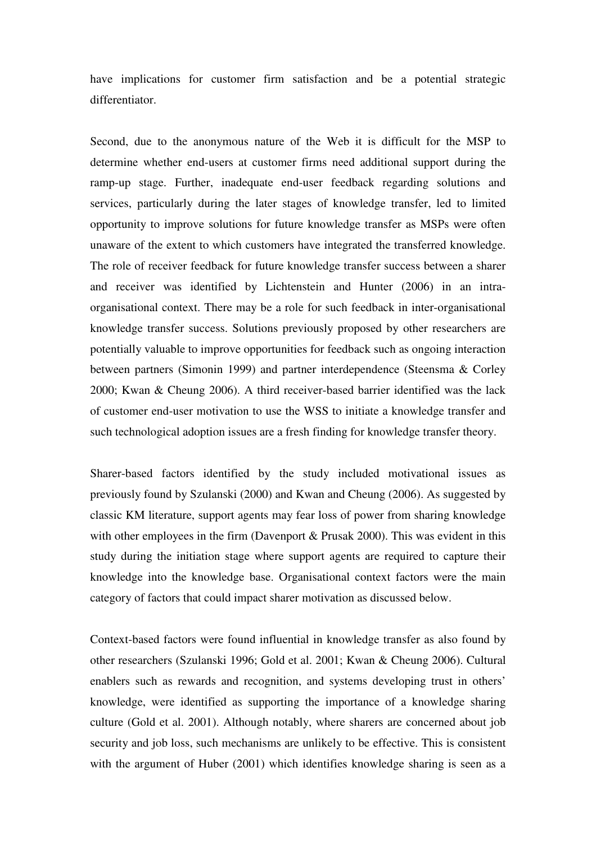have implications for customer firm satisfaction and be a potential strategic differentiator.

Second, due to the anonymous nature of the Web it is difficult for the MSP to determine whether end-users at customer firms need additional support during the ramp-up stage. Further, inadequate end-user feedback regarding solutions and services, particularly during the later stages of knowledge transfer, led to limited opportunity to improve solutions for future knowledge transfer as MSPs were often unaware of the extent to which customers have integrated the transferred knowledge. The role of receiver feedback for future knowledge transfer success between a sharer and receiver was identified by Lichtenstein and Hunter (2006) in an intraorganisational context. There may be a role for such feedback in inter-organisational knowledge transfer success. Solutions previously proposed by other researchers are potentially valuable to improve opportunities for feedback such as ongoing interaction between partners (Simonin 1999) and partner interdependence (Steensma & Corley 2000; Kwan & Cheung 2006). A third receiver-based barrier identified was the lack of customer end-user motivation to use the WSS to initiate a knowledge transfer and such technological adoption issues are a fresh finding for knowledge transfer theory.

Sharer-based factors identified by the study included motivational issues as previously found by Szulanski (2000) and Kwan and Cheung (2006). As suggested by classic KM literature, support agents may fear loss of power from sharing knowledge with other employees in the firm (Davenport & Prusak 2000). This was evident in this study during the initiation stage where support agents are required to capture their knowledge into the knowledge base. Organisational context factors were the main category of factors that could impact sharer motivation as discussed below.

Context-based factors were found influential in knowledge transfer as also found by other researchers (Szulanski 1996; Gold et al. 2001; Kwan & Cheung 2006). Cultural enablers such as rewards and recognition, and systems developing trust in others' knowledge, were identified as supporting the importance of a knowledge sharing culture (Gold et al. 2001). Although notably, where sharers are concerned about job security and job loss, such mechanisms are unlikely to be effective. This is consistent with the argument of Huber (2001) which identifies knowledge sharing is seen as a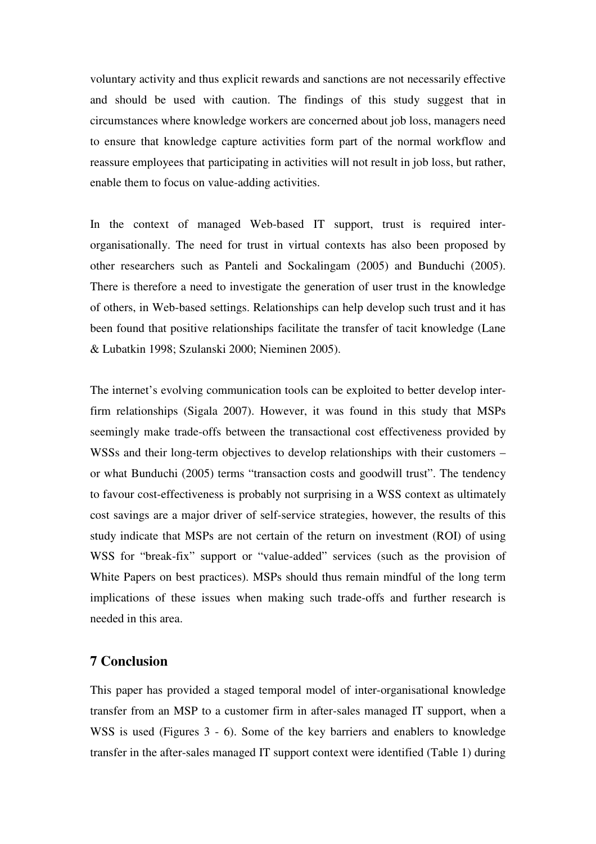voluntary activity and thus explicit rewards and sanctions are not necessarily effective and should be used with caution. The findings of this study suggest that in circumstances where knowledge workers are concerned about job loss, managers need to ensure that knowledge capture activities form part of the normal workflow and reassure employees that participating in activities will not result in job loss, but rather, enable them to focus on value-adding activities.

In the context of managed Web-based IT support, trust is required interorganisationally. The need for trust in virtual contexts has also been proposed by other researchers such as Panteli and Sockalingam (2005) and Bunduchi (2005). There is therefore a need to investigate the generation of user trust in the knowledge of others, in Web-based settings. Relationships can help develop such trust and it has been found that positive relationships facilitate the transfer of tacit knowledge (Lane & Lubatkin 1998; Szulanski 2000; Nieminen 2005).

The internet's evolving communication tools can be exploited to better develop interfirm relationships (Sigala 2007). However, it was found in this study that MSPs seemingly make trade-offs between the transactional cost effectiveness provided by WSSs and their long-term objectives to develop relationships with their customers – or what Bunduchi (2005) terms "transaction costs and goodwill trust". The tendency to favour cost-effectiveness is probably not surprising in a WSS context as ultimately cost savings are a major driver of self-service strategies, however, the results of this study indicate that MSPs are not certain of the return on investment (ROI) of using WSS for "break-fix" support or "value-added" services (such as the provision of White Papers on best practices). MSPs should thus remain mindful of the long term implications of these issues when making such trade-offs and further research is needed in this area.

## **7 Conclusion**

This paper has provided a staged temporal model of inter-organisational knowledge transfer from an MSP to a customer firm in after-sales managed IT support, when a WSS is used (Figures 3 - 6). Some of the key barriers and enablers to knowledge transfer in the after-sales managed IT support context were identified (Table 1) during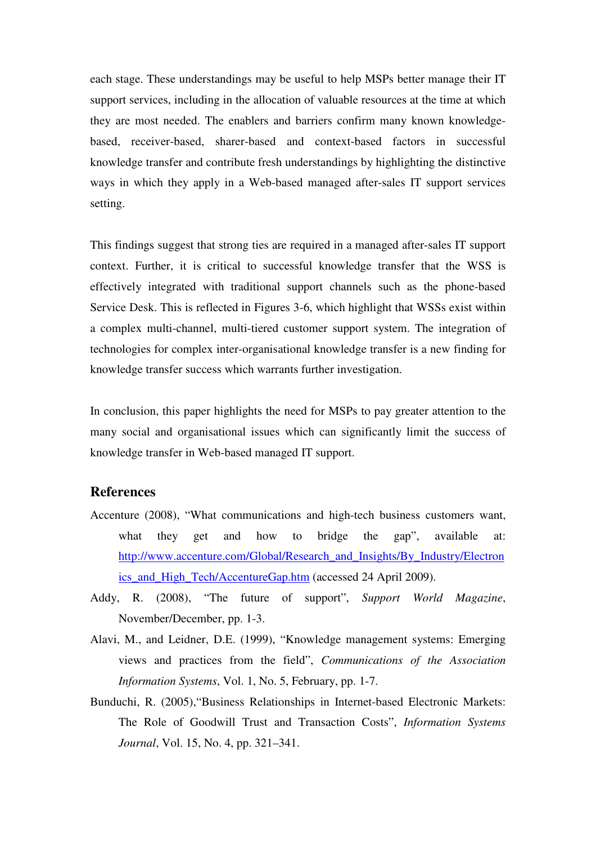each stage. These understandings may be useful to help MSPs better manage their IT support services, including in the allocation of valuable resources at the time at which they are most needed. The enablers and barriers confirm many known knowledgebased, receiver-based, sharer-based and context-based factors in successful knowledge transfer and contribute fresh understandings by highlighting the distinctive ways in which they apply in a Web-based managed after-sales IT support services setting.

This findings suggest that strong ties are required in a managed after-sales IT support context. Further, it is critical to successful knowledge transfer that the WSS is effectively integrated with traditional support channels such as the phone-based Service Desk. This is reflected in Figures 3-6, which highlight that WSSs exist within a complex multi-channel, multi-tiered customer support system. The integration of technologies for complex inter-organisational knowledge transfer is a new finding for knowledge transfer success which warrants further investigation.

In conclusion, this paper highlights the need for MSPs to pay greater attention to the many social and organisational issues which can significantly limit the success of knowledge transfer in Web-based managed IT support.

## **References**

- Accenture (2008), "What communications and high-tech business customers want, what they get and how to bridge the gap", available at: http://www.accenture.com/Global/Research\_and\_Insights/By\_Industry/Electron ics\_and\_High\_Tech/AccentureGap.htm (accessed 24 April 2009).
- Addy, R. (2008), "The future of support", *Support World Magazine*, November/December, pp. 1-3.
- Alavi, M., and Leidner, D.E. (1999), "Knowledge management systems: Emerging views and practices from the field", *Communications of the Association Information Systems*, Vol. 1, No. 5, February, pp. 1-7.
- Bunduchi, R. (2005),"Business Relationships in Internet-based Electronic Markets: The Role of Goodwill Trust and Transaction Costs", *Information Systems Journal*, Vol. 15, No. 4, pp. 321–341.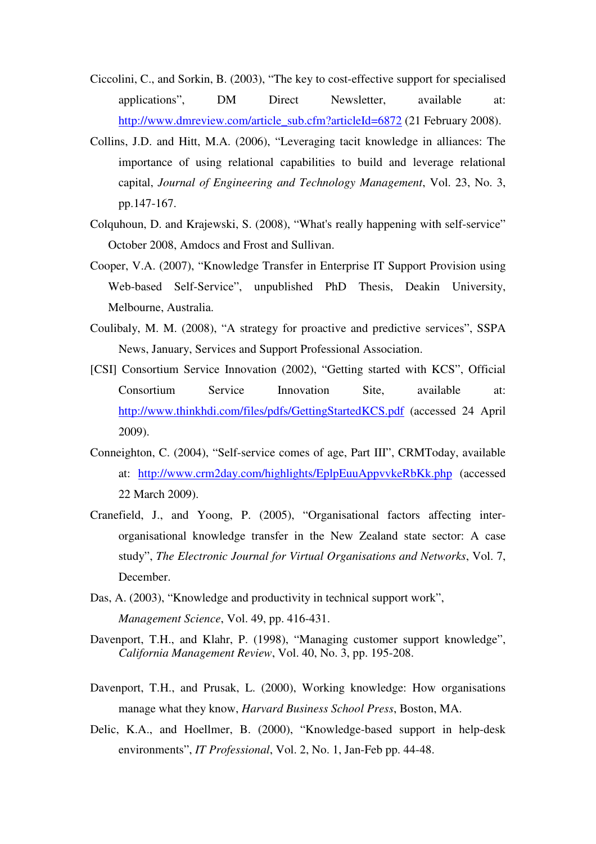- Ciccolini, C., and Sorkin, B. (2003), "The key to cost-effective support for specialised applications", DM Direct Newsletter, available at: http://www.dmreview.com/article\_sub.cfm?articleId=6872 (21 February 2008).
- Collins, J.D. and Hitt, M.A. (2006), "Leveraging tacit knowledge in alliances: The importance of using relational capabilities to build and leverage relational capital, *Journal of Engineering and Technology Management*, Vol. 23, No. 3, pp.147-167.
- Colquhoun, D. and Krajewski, S. (2008), "What's really happening with self-service" October 2008, Amdocs and Frost and Sullivan.
- Cooper, V.A. (2007), "Knowledge Transfer in Enterprise IT Support Provision using Web-based Self-Service", unpublished PhD Thesis, Deakin University, Melbourne, Australia.
- Coulibaly, M. M. (2008), "A strategy for proactive and predictive services", SSPA News, January, Services and Support Professional Association.
- [CSI] Consortium Service Innovation (2002), "Getting started with KCS", Official Consortium Service Innovation Site, available at: http://www.thinkhdi.com/files/pdfs/GettingStartedKCS.pdf (accessed 24 April 2009).
- Conneighton, C. (2004), "Self-service comes of age, Part III", CRMToday, available at: http://www.crm2day.com/highlights/EplpEuuAppvvkeRbKk.php (accessed 22 March 2009).
- Cranefield, J., and Yoong, P. (2005), "Organisational factors affecting interorganisational knowledge transfer in the New Zealand state sector: A case study", *The Electronic Journal for Virtual Organisations and Networks*, Vol. 7, December.
- Das, A. (2003), "Knowledge and productivity in technical support work", *Management Science*, Vol. 49, pp. 416-431.
- Davenport, T.H., and Klahr, P. (1998), "Managing customer support knowledge", *California Management Review*, Vol. 40, No. 3, pp. 195-208.
- Davenport, T.H., and Prusak, L. (2000), Working knowledge: How organisations manage what they know, *Harvard Business School Press*, Boston, MA.
- Delic, K.A., and Hoellmer, B. (2000), "Knowledge-based support in help-desk environments", *IT Professional*, Vol. 2, No. 1, Jan-Feb pp. 44-48.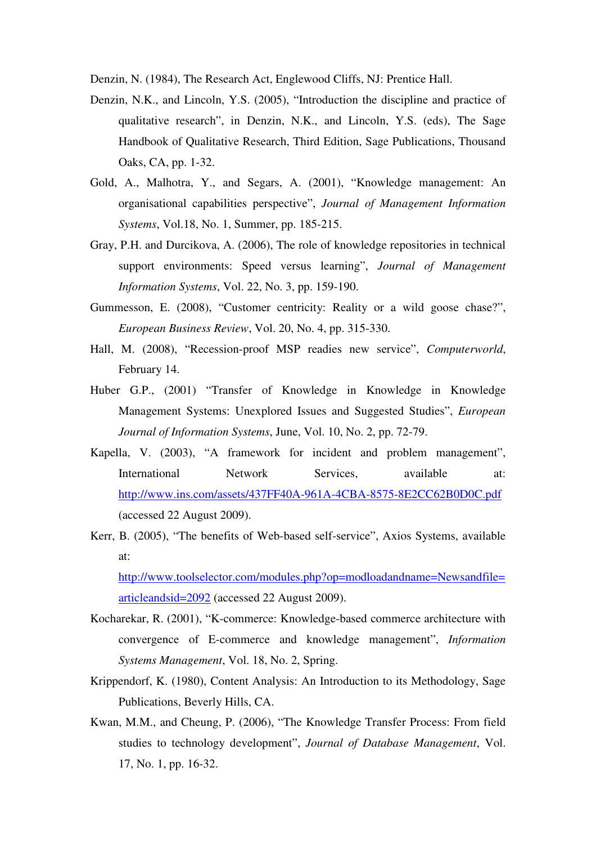Denzin, N. (1984), The Research Act, Englewood Cliffs, NJ: Prentice Hall.

- Denzin, N.K., and Lincoln, Y.S. (2005), "Introduction the discipline and practice of qualitative research", in Denzin, N.K., and Lincoln, Y.S. (eds), The Sage Handbook of Qualitative Research, Third Edition, Sage Publications, Thousand Oaks, CA, pp. 1-32.
- Gold, A., Malhotra, Y., and Segars, A. (2001), "Knowledge management: An organisational capabilities perspective", *Journal of Management Information Systems*, Vol.18, No. 1, Summer, pp. 185-215.
- Gray, P.H. and Durcikova, A. (2006), The role of knowledge repositories in technical support environments: Speed versus learning", *Journal of Management Information Systems*, Vol. 22, No. 3, pp. 159-190.
- Gummesson, E. (2008), "Customer centricity: Reality or a wild goose chase?", *European Business Review*, Vol. 20, No. 4, pp. 315-330.
- Hall, M. (2008), "Recession-proof MSP readies new service", *Computerworld*, February 14.
- Huber G.P., (2001) "Transfer of Knowledge in Knowledge in Knowledge Management Systems: Unexplored Issues and Suggested Studies", *European Journal of Information Systems*, June, Vol. 10, No. 2, pp. 72-79.
- Kapella, V. (2003), "A framework for incident and problem management", International Network Services, available at: http://www.ins.com/assets/437FF40A-961A-4CBA-8575-8E2CC62B0D0C.pdf (accessed 22 August 2009).
- Kerr, B. (2005), "The benefits of Web-based self-service", Axios Systems, available at:

http://www.toolselector.com/modules.php?op=modloadandname=Newsandfile= articleandsid=2092 (accessed 22 August 2009).

- Kocharekar, R. (2001), "K-commerce: Knowledge-based commerce architecture with convergence of E-commerce and knowledge management", *Information Systems Management*, Vol. 18, No. 2, Spring.
- Krippendorf, K. (1980), Content Analysis: An Introduction to its Methodology, Sage Publications, Beverly Hills, CA.
- Kwan, M.M., and Cheung, P. (2006), "The Knowledge Transfer Process: From field studies to technology development", *Journal of Database Management*, Vol. 17, No. 1, pp. 16-32.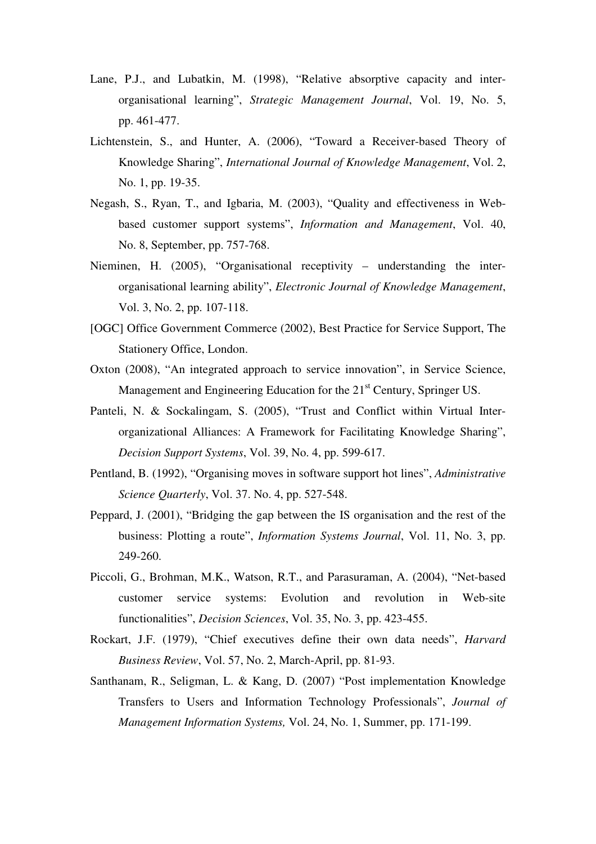- Lane, P.J., and Lubatkin, M. (1998), "Relative absorptive capacity and interorganisational learning", *Strategic Management Journal*, Vol. 19, No. 5, pp. 461-477.
- Lichtenstein, S., and Hunter, A. (2006), "Toward a Receiver-based Theory of Knowledge Sharing", *International Journal of Knowledge Management*, Vol. 2, No. 1, pp. 19-35.
- Negash, S., Ryan, T., and Igbaria, M. (2003), "Quality and effectiveness in Webbased customer support systems", *Information and Management*, Vol. 40, No. 8, September, pp. 757-768.
- Nieminen, H. (2005), "Organisational receptivity understanding the interorganisational learning ability", *Electronic Journal of Knowledge Management*, Vol. 3, No. 2, pp. 107-118.
- [OGC] Office Government Commerce (2002), Best Practice for Service Support, The Stationery Office, London.
- Oxton (2008), "An integrated approach to service innovation", in Service Science, Management and Engineering Education for the 21<sup>st</sup> Century, Springer US.
- Panteli, N. & Sockalingam, S. (2005), "Trust and Conflict within Virtual Interorganizational Alliances: A Framework for Facilitating Knowledge Sharing", *Decision Support Systems*, Vol. 39, No. 4, pp. 599-617.
- Pentland, B. (1992), "Organising moves in software support hot lines", *Administrative Science Quarterly*, Vol. 37. No. 4, pp. 527-548.
- Peppard, J. (2001), "Bridging the gap between the IS organisation and the rest of the business: Plotting a route", *Information Systems Journal*, Vol. 11, No. 3, pp. 249-260.
- Piccoli, G., Brohman, M.K., Watson, R.T., and Parasuraman, A. (2004), "Net-based customer service systems: Evolution and revolution in Web-site functionalities", *Decision Sciences*, Vol. 35, No. 3, pp. 423-455.
- Rockart, J.F. (1979), "Chief executives define their own data needs", *Harvard Business Review*, Vol. 57, No. 2, March-April, pp. 81-93.
- Santhanam, R., Seligman, L. & Kang, D. (2007) "Post implementation Knowledge Transfers to Users and Information Technology Professionals", *Journal of Management Information Systems,* Vol. 24, No. 1, Summer, pp. 171-199.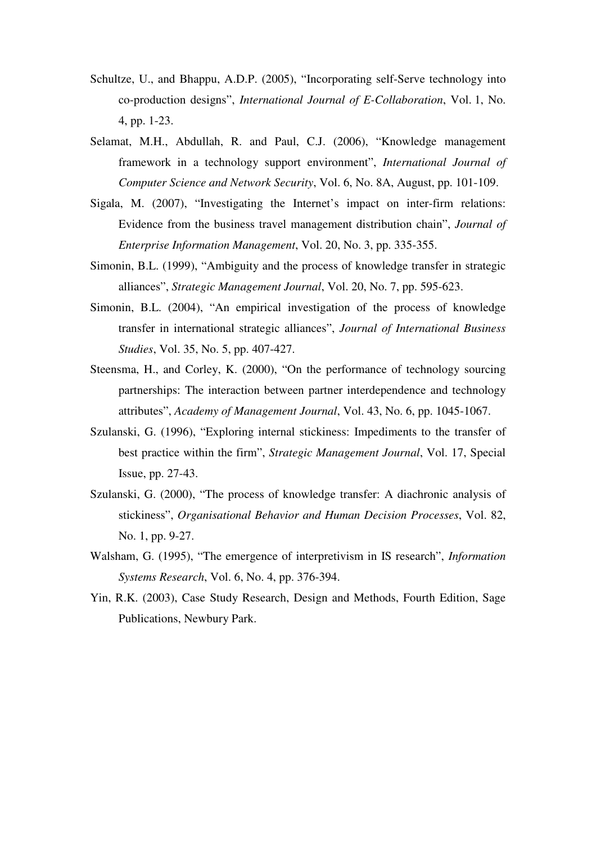- Schultze, U., and Bhappu, A.D.P. (2005), "Incorporating self-Serve technology into co-production designs", *International Journal of E-Collaboration*, Vol. 1, No. 4, pp. 1-23.
- Selamat, M.H., Abdullah, R. and Paul, C.J. (2006), "Knowledge management framework in a technology support environment", *International Journal of Computer Science and Network Security*, Vol. 6, No. 8A, August, pp. 101-109.
- Sigala, M. (2007), "Investigating the Internet's impact on inter-firm relations: Evidence from the business travel management distribution chain", *Journal of Enterprise Information Management*, Vol. 20, No. 3, pp. 335-355.
- Simonin, B.L. (1999), "Ambiguity and the process of knowledge transfer in strategic alliances", *Strategic Management Journal*, Vol. 20, No. 7, pp. 595-623.
- Simonin, B.L. (2004), "An empirical investigation of the process of knowledge transfer in international strategic alliances", *Journal of International Business Studies*, Vol. 35, No. 5, pp. 407-427.
- Steensma, H., and Corley, K. (2000), "On the performance of technology sourcing partnerships: The interaction between partner interdependence and technology attributes", *Academy of Management Journal*, Vol. 43, No. 6, pp. 1045-1067.
- Szulanski, G. (1996), "Exploring internal stickiness: Impediments to the transfer of best practice within the firm", *Strategic Management Journal*, Vol. 17, Special Issue, pp. 27-43.
- Szulanski, G. (2000), "The process of knowledge transfer: A diachronic analysis of stickiness", *Organisational Behavior and Human Decision Processes*, Vol. 82, No. 1, pp. 9-27.
- Walsham, G. (1995), "The emergence of interpretivism in IS research", *Information Systems Research*, Vol. 6, No. 4, pp. 376-394.
- Yin, R.K. (2003), Case Study Research, Design and Methods, Fourth Edition, Sage Publications, Newbury Park.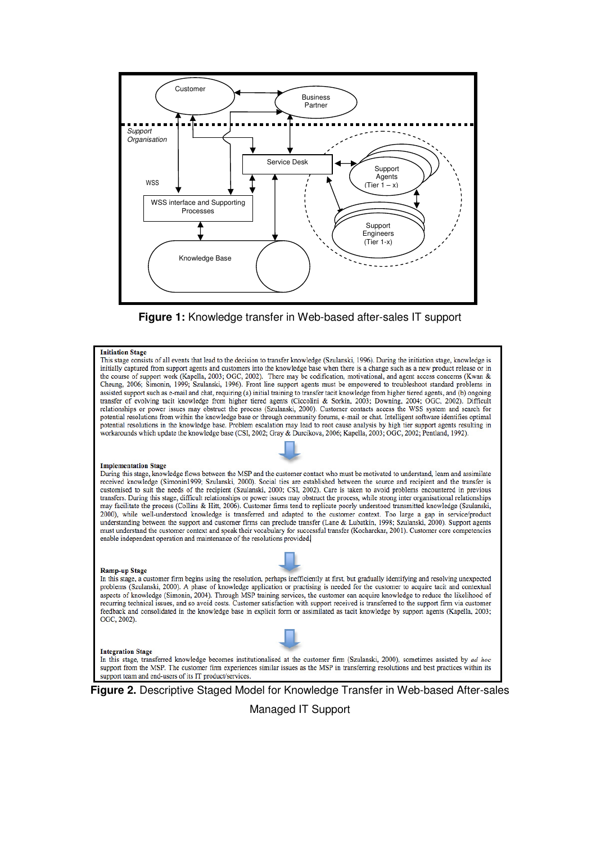



#### **Initiation Stage**

This stage consists of all events that lead to the decision to transfer knowledge (Szulanski, 1996). During the initiation stage, knowledge is initially captured from support agents and customers into the knowledge base when there is a change such as a new product release or in the course of support work (Kapella, 2003; OGC, 2002). There may be codification, motivational, and agent access concerns (Kwan & Cheung, 2006; Simonin, 1999; Szulanski, 1996). Front line support agents must be empowered to troubleshoot standard problems in assisted support such as e-mail and chat, requiring (a) initial training to transfer tacit knowledge from higher tiered agents, and (b) ongoing transfer of evolving tacit knowledge from higher tiered agents (Ciccolini & Sorkin, 2003; Downing, 2004; OGC, 2002). Difficult relationships or power issues may obstruct the process (Szulanski, 2000). Customer contacts acc potential resolutions from within the knowledge base or through community forums, e-mail or chat. Intelligent software identifies optimal potential resolutions in the knowledge base. Problem escalation may lead to root cause analysis by high tier support agents resulting in workarounds which update the knowledge base (CSI, 2002; Gray & Durcikova, 2006; Kapella, 2003; OGC, 2002; Pentland, 1992).

#### **Implementation Stage**

During this stage, knowledge flows between the MSP and the customer contact who must be motivated to understand, learn and assimilate received knowledge (Simonin1999; Szulanski, 2000). Social ties are established between the source and recipient and the transfer is customised to suit the needs of the recipient (Szulanski, 2000; CSI, 2002). Care is taken to avoid problems encountered in previous transfers. During this stage, difficult relationships or power issues may obstruct the process, while strong inter organisational relationships may facilitate the process (Collins & Hitt, 2006). Customer firms tend to replicate poorly understood transmitted knowledge (Szulanski, 2000), while well-understood knowledge is transferred and adapted to the customer context. Too large a gap in service/product understanding between the support and customer firms can preclude transfer (Lane & Lubatkin, 1998; Szulanski, 2000). Support agents must understand the customer context and speak their vocabulary for successful transfer (Kocharekar, 2001). Customer core competencies enable independent operation and maintenance of the resolutions provided.

#### **Ramp-up Stage**



In this stage, a customer firm begins using the resolution, perhaps inefficiently at first, but gradually identifying and resolving unexpected problems (Szulanski, 2000). A phase of knowledge application or practising is needed for the customer to acquire tacit and contextual aspects of knowledge (Simonin, 2004). Through MSP training services, the customer can acquire knowledge to reduce the likelihood of recurring technical issues, and so avoid costs. Customer satisfaction with support received is transferred to the support firm via customer feedback and consolidated in the knowledge base in explicit form or assimilated as OGC, 2002).

#### **Integration Stage**



In this stage, transferred knowledge becomes institutionalised at the customer firm (Szulanski, 2000), sometimes assisted by ad hoc support from the MSP. The customer firm experiences similar issues as the MSP in transferring resolutions and best practices within its support team and end-users of its IT product/services.

**Figure 2.** Descriptive Staged Model for Knowledge Transfer in Web-based After-sales

Managed IT Support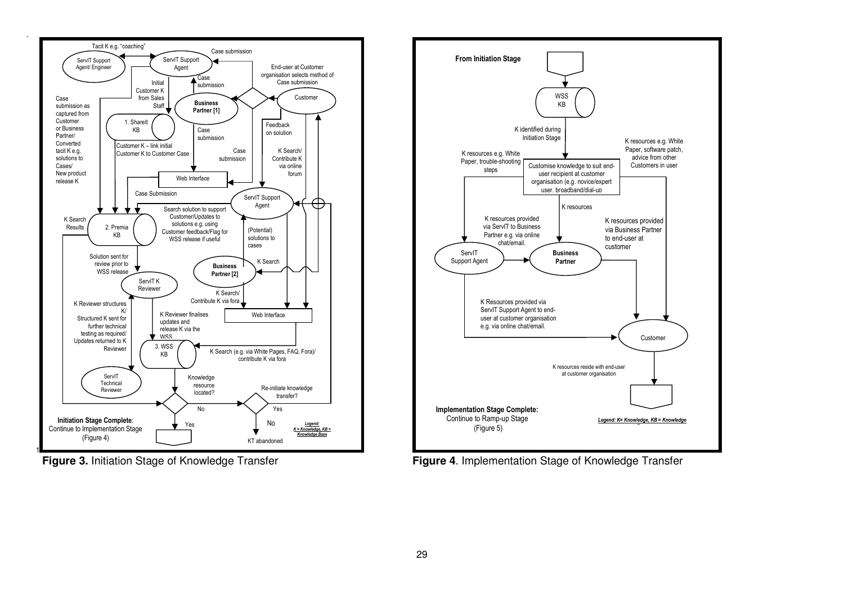



**Figure 3.** Initiation Stage of Knowledge Transfer **Figure 4.** Implementation Stage of Knowledge Transfer